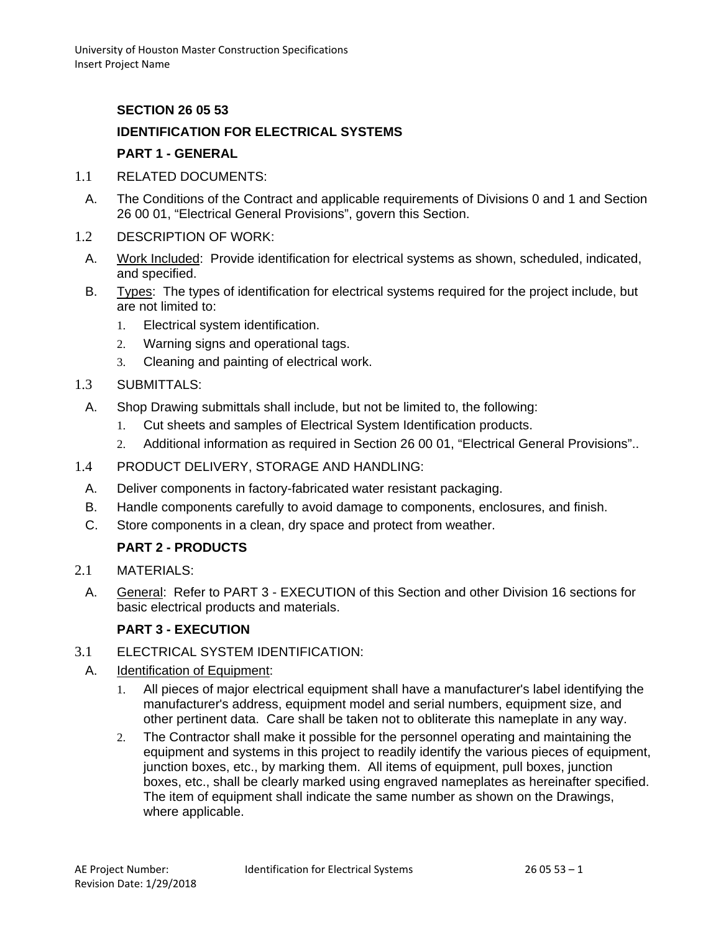### **SECTION 26 05 53**

# **IDENTIFICATION FOR ELECTRICAL SYSTEMS PART 1 - GENERAL**

- 1.1 RELATED DOCUMENTS:
	- A. The Conditions of the Contract and applicable requirements of Divisions 0 and 1 and Section 26 00 01, "Electrical General Provisions", govern this Section.
- 1.2 DESCRIPTION OF WORK:
	- A. Work Included: Provide identification for electrical systems as shown, scheduled, indicated, and specified.
	- B. Types: The types of identification for electrical systems required for the project include, but are not limited to:
		- 1. Electrical system identification.
		- 2. Warning signs and operational tags.
		- 3. Cleaning and painting of electrical work.
- 1.3 SUBMITTALS:
	- A. Shop Drawing submittals shall include, but not be limited to, the following:
		- 1. Cut sheets and samples of Electrical System Identification products.
		- 2. Additional information as required in Section 26 00 01, "Electrical General Provisions"..
- 1.4 PRODUCT DELIVERY, STORAGE AND HANDLING:
	- A. Deliver components in factory-fabricated water resistant packaging.
	- B. Handle components carefully to avoid damage to components, enclosures, and finish.
	- C. Store components in a clean, dry space and protect from weather.

# **PART 2 - PRODUCTS**

- 2.1 MATERIALS:
	- A. General: Refer to PART 3 EXECUTION of this Section and other Division 16 sections for basic electrical products and materials.

### **PART 3 - EXECUTION**

- 3.1 ELECTRICAL SYSTEM IDENTIFICATION:
- A. Identification of Equipment:
	- 1. All pieces of major electrical equipment shall have a manufacturer's label identifying the manufacturer's address, equipment model and serial numbers, equipment size, and other pertinent data. Care shall be taken not to obliterate this nameplate in any way.
	- 2. The Contractor shall make it possible for the personnel operating and maintaining the equipment and systems in this project to readily identify the various pieces of equipment, junction boxes, etc., by marking them. All items of equipment, pull boxes, junction boxes, etc., shall be clearly marked using engraved nameplates as hereinafter specified. The item of equipment shall indicate the same number as shown on the Drawings, where applicable.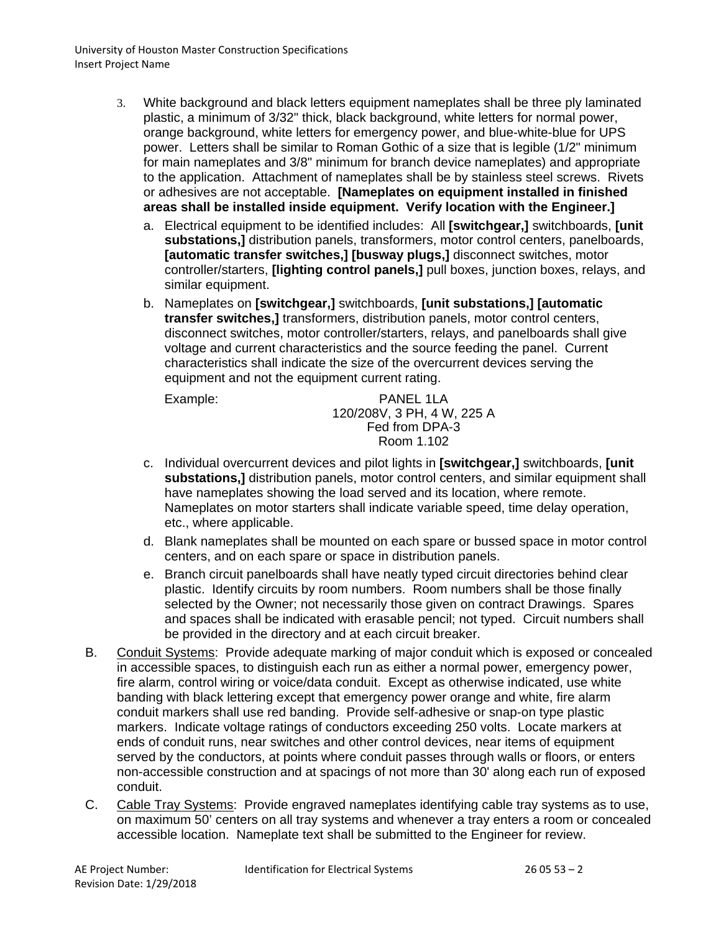- 3. White background and black letters equipment nameplates shall be three ply laminated plastic, a minimum of 3/32" thick, black background, white letters for normal power, orange background, white letters for emergency power, and blue-white-blue for UPS power. Letters shall be similar to Roman Gothic of a size that is legible (1/2" minimum for main nameplates and 3/8" minimum for branch device nameplates) and appropriate to the application. Attachment of nameplates shall be by stainless steel screws. Rivets or adhesives are not acceptable. **[Nameplates on equipment installed in finished areas shall be installed inside equipment. Verify location with the Engineer.]**
	- a. Electrical equipment to be identified includes: All **[switchgear,]** switchboards, **[unit substations,]** distribution panels, transformers, motor control centers, panelboards, **[automatic transfer switches,] [busway plugs,]** disconnect switches, motor controller/starters, **[lighting control panels,]** pull boxes, junction boxes, relays, and similar equipment.
	- b. Nameplates on **[switchgear,]** switchboards, **[unit substations,] [automatic transfer switches,]** transformers, distribution panels, motor control centers, disconnect switches, motor controller/starters, relays, and panelboards shall give voltage and current characteristics and the source feeding the panel. Current characteristics shall indicate the size of the overcurrent devices serving the equipment and not the equipment current rating.

Example: PANEL 1LA 120/208V, 3 PH, 4 W, 225 A Fed from DPA-3 Room 1.102

- c. Individual overcurrent devices and pilot lights in **[switchgear,]** switchboards, **[unit substations,]** distribution panels, motor control centers, and similar equipment shall have nameplates showing the load served and its location, where remote. Nameplates on motor starters shall indicate variable speed, time delay operation, etc., where applicable.
- d. Blank nameplates shall be mounted on each spare or bussed space in motor control centers, and on each spare or space in distribution panels.
- e. Branch circuit panelboards shall have neatly typed circuit directories behind clear plastic. Identify circuits by room numbers. Room numbers shall be those finally selected by the Owner; not necessarily those given on contract Drawings. Spares and spaces shall be indicated with erasable pencil; not typed. Circuit numbers shall be provided in the directory and at each circuit breaker.
- B. Conduit Systems: Provide adequate marking of major conduit which is exposed or concealed in accessible spaces, to distinguish each run as either a normal power, emergency power, fire alarm, control wiring or voice/data conduit. Except as otherwise indicated, use white banding with black lettering except that emergency power orange and white, fire alarm conduit markers shall use red banding. Provide self-adhesive or snap-on type plastic markers. Indicate voltage ratings of conductors exceeding 250 volts. Locate markers at ends of conduit runs, near switches and other control devices, near items of equipment served by the conductors, at points where conduit passes through walls or floors, or enters non-accessible construction and at spacings of not more than 30' along each run of exposed conduit.
- C. Cable Tray Systems: Provide engraved nameplates identifying cable tray systems as to use, on maximum 50' centers on all tray systems and whenever a tray enters a room or concealed accessible location. Nameplate text shall be submitted to the Engineer for review.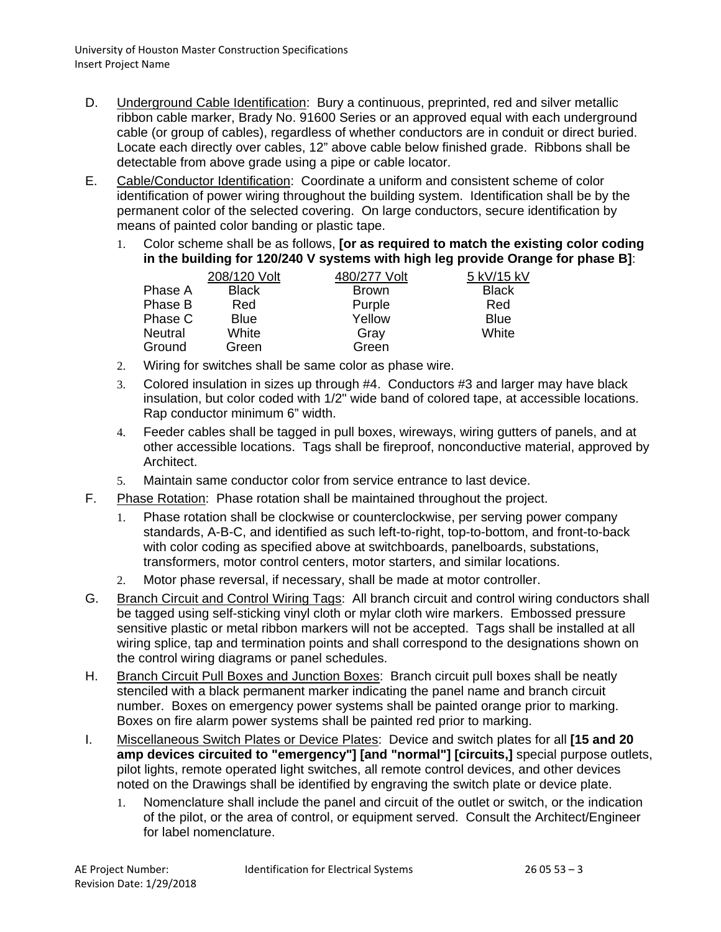- D. Underground Cable Identification: Bury a continuous, preprinted, red and silver metallic ribbon cable marker, Brady No. 91600 Series or an approved equal with each underground cable (or group of cables), regardless of whether conductors are in conduit or direct buried. Locate each directly over cables, 12" above cable below finished grade. Ribbons shall be detectable from above grade using a pipe or cable locator.
- E. Cable/Conductor Identification: Coordinate a uniform and consistent scheme of color identification of power wiring throughout the building system. Identification shall be by the permanent color of the selected covering. On large conductors, secure identification by means of painted color banding or plastic tape.
	- 1. Color scheme shall be as follows, **[or as required to match the existing color coding in the building for 120/240 V systems with high leg provide Orange for phase B]**:

|         | 208/120 Volt | 480/277 Volt | 5 kV/15 kV   |
|---------|--------------|--------------|--------------|
| Phase A | <b>Black</b> | <b>Brown</b> | <b>Black</b> |
| Phase B | Red          | Purple       | Red          |
| Phase C | <b>Blue</b>  | Yellow       | <b>Blue</b>  |
| Neutral | White        | Gray         | White        |
| Ground  | Green        | Green        |              |

- 2. Wiring for switches shall be same color as phase wire.
- 3. Colored insulation in sizes up through #4. Conductors #3 and larger may have black insulation, but color coded with 1/2" wide band of colored tape, at accessible locations. Rap conductor minimum 6" width.
- 4. Feeder cables shall be tagged in pull boxes, wireways, wiring gutters of panels, and at other accessible locations. Tags shall be fireproof, nonconductive material, approved by Architect.
- 5. Maintain same conductor color from service entrance to last device.
- F. Phase Rotation: Phase rotation shall be maintained throughout the project.
	- 1. Phase rotation shall be clockwise or counterclockwise, per serving power company standards, A-B-C, and identified as such left-to-right, top-to-bottom, and front-to-back with color coding as specified above at switchboards, panelboards, substations, transformers, motor control centers, motor starters, and similar locations.
	- 2. Motor phase reversal, if necessary, shall be made at motor controller.
- G. Branch Circuit and Control Wiring Tags: All branch circuit and control wiring conductors shall be tagged using self-sticking vinyl cloth or mylar cloth wire markers. Embossed pressure sensitive plastic or metal ribbon markers will not be accepted. Tags shall be installed at all wiring splice, tap and termination points and shall correspond to the designations shown on the control wiring diagrams or panel schedules.
- H. Branch Circuit Pull Boxes and Junction Boxes: Branch circuit pull boxes shall be neatly stenciled with a black permanent marker indicating the panel name and branch circuit number. Boxes on emergency power systems shall be painted orange prior to marking. Boxes on fire alarm power systems shall be painted red prior to marking.
- I. Miscellaneous Switch Plates or Device Plates: Device and switch plates for all **[15 and 20 amp devices circuited to "emergency"] [and "normal"] [circuits,]** special purpose outlets, pilot lights, remote operated light switches, all remote control devices, and other devices noted on the Drawings shall be identified by engraving the switch plate or device plate.
	- 1. Nomenclature shall include the panel and circuit of the outlet or switch, or the indication of the pilot, or the area of control, or equipment served. Consult the Architect/Engineer for label nomenclature.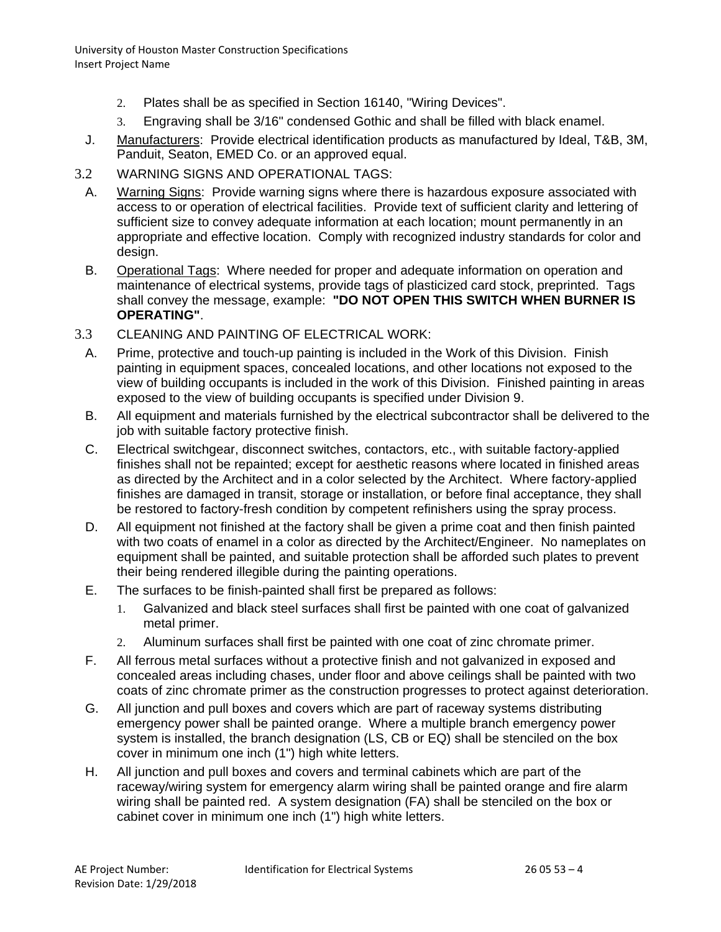University of Houston Master Construction Specifications Insert Project Name

- 2. Plates shall be as specified in Section 16140, "Wiring Devices".
- 3. Engraving shall be 3/16" condensed Gothic and shall be filled with black enamel.
- J. Manufacturers: Provide electrical identification products as manufactured by Ideal, T&B, 3M, Panduit, Seaton, EMED Co. or an approved equal.
- 3.2 WARNING SIGNS AND OPERATIONAL TAGS:
	- A. Warning Signs: Provide warning signs where there is hazardous exposure associated with access to or operation of electrical facilities. Provide text of sufficient clarity and lettering of sufficient size to convey adequate information at each location; mount permanently in an appropriate and effective location. Comply with recognized industry standards for color and design.
	- B. Operational Tags: Where needed for proper and adequate information on operation and maintenance of electrical systems, provide tags of plasticized card stock, preprinted. Tags shall convey the message, example: **"DO NOT OPEN THIS SWITCH WHEN BURNER IS OPERATING"**.
- 3.3 CLEANING AND PAINTING OF ELECTRICAL WORK:
	- A. Prime, protective and touch-up painting is included in the Work of this Division. Finish painting in equipment spaces, concealed locations, and other locations not exposed to the view of building occupants is included in the work of this Division. Finished painting in areas exposed to the view of building occupants is specified under Division 9.
	- B. All equipment and materials furnished by the electrical subcontractor shall be delivered to the job with suitable factory protective finish.
	- C. Electrical switchgear, disconnect switches, contactors, etc., with suitable factory-applied finishes shall not be repainted; except for aesthetic reasons where located in finished areas as directed by the Architect and in a color selected by the Architect. Where factory-applied finishes are damaged in transit, storage or installation, or before final acceptance, they shall be restored to factory-fresh condition by competent refinishers using the spray process.
	- D. All equipment not finished at the factory shall be given a prime coat and then finish painted with two coats of enamel in a color as directed by the Architect/Engineer. No nameplates on equipment shall be painted, and suitable protection shall be afforded such plates to prevent their being rendered illegible during the painting operations.
	- E. The surfaces to be finish-painted shall first be prepared as follows:
		- 1. Galvanized and black steel surfaces shall first be painted with one coat of galvanized metal primer.
		- 2. Aluminum surfaces shall first be painted with one coat of zinc chromate primer.
	- F. All ferrous metal surfaces without a protective finish and not galvanized in exposed and concealed areas including chases, under floor and above ceilings shall be painted with two coats of zinc chromate primer as the construction progresses to protect against deterioration.
	- G. All junction and pull boxes and covers which are part of raceway systems distributing emergency power shall be painted orange. Where a multiple branch emergency power system is installed, the branch designation (LS, CB or EQ) shall be stenciled on the box cover in minimum one inch (1") high white letters.
	- H. All junction and pull boxes and covers and terminal cabinets which are part of the raceway/wiring system for emergency alarm wiring shall be painted orange and fire alarm wiring shall be painted red. A system designation (FA) shall be stenciled on the box or cabinet cover in minimum one inch (1") high white letters.